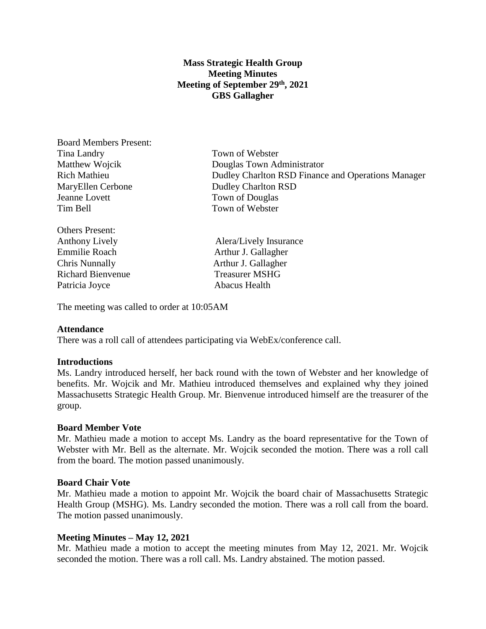# **Mass Strategic Health Group Meeting Minutes Meeting of September 29th, 2021 GBS Gallagher**

Board Members Present: Tina Landry Town of Webster MaryEllen Cerbone Dudley Charlton RSD Jeanne Lovett Town of Douglas Tim Bell Town of Webster

Others Present: Emmilie Roach Arthur J. Gallagher Chris Nunnally Arthur J. Gallagher Richard Bienvenue Treasurer MSHG Patricia Joyce Abacus Health

Matthew Wojcik Douglas Town Administrator Rich Mathieu Dudley Charlton RSD Finance and Operations Manager

Anthony Lively **Alera** Alera Alera Alera Alera Alera Alera Alera Alera Alera Alera Alera Alera Alera Alera Alera Alera Alera Alera Alera Alera Alera Alera Alera Alera Alera Alera Alera Alera Alera Alera Alera Alera Alera A

The meeting was called to order at 10:05AM

## **Attendance**

There was a roll call of attendees participating via WebEx/conference call.

## **Introductions**

Ms. Landry introduced herself, her back round with the town of Webster and her knowledge of benefits. Mr. Wojcik and Mr. Mathieu introduced themselves and explained why they joined Massachusetts Strategic Health Group. Mr. Bienvenue introduced himself are the treasurer of the group.

#### **Board Member Vote**

Mr. Mathieu made a motion to accept Ms. Landry as the board representative for the Town of Webster with Mr. Bell as the alternate. Mr. Wojcik seconded the motion. There was a roll call from the board. The motion passed unanimously.

#### **Board Chair Vote**

Mr. Mathieu made a motion to appoint Mr. Wojcik the board chair of Massachusetts Strategic Health Group (MSHG). Ms. Landry seconded the motion. There was a roll call from the board. The motion passed unanimously.

## **Meeting Minutes – May 12, 2021**

Mr. Mathieu made a motion to accept the meeting minutes from May 12, 2021. Mr. Wojcik seconded the motion. There was a roll call. Ms. Landry abstained. The motion passed.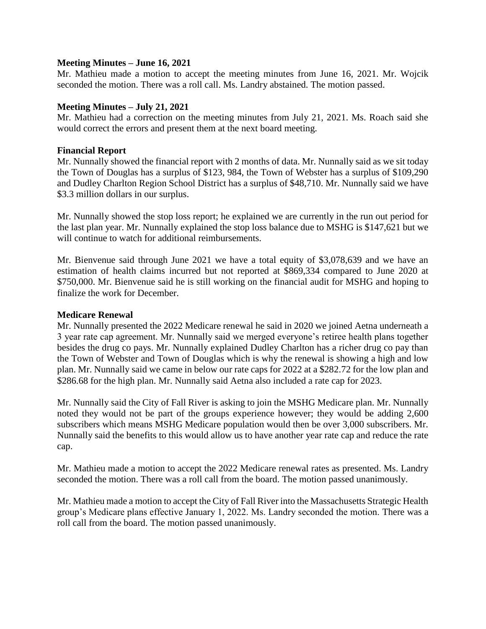## **Meeting Minutes – June 16, 2021**

Mr. Mathieu made a motion to accept the meeting minutes from June 16, 2021. Mr. Wojcik seconded the motion. There was a roll call. Ms. Landry abstained. The motion passed.

#### **Meeting Minutes – July 21, 2021**

Mr. Mathieu had a correction on the meeting minutes from July 21, 2021. Ms. Roach said she would correct the errors and present them at the next board meeting.

#### **Financial Report**

Mr. Nunnally showed the financial report with 2 months of data. Mr. Nunnally said as we sit today the Town of Douglas has a surplus of \$123, 984, the Town of Webster has a surplus of \$109,290 and Dudley Charlton Region School District has a surplus of \$48,710. Mr. Nunnally said we have \$3.3 million dollars in our surplus.

Mr. Nunnally showed the stop loss report; he explained we are currently in the run out period for the last plan year. Mr. Nunnally explained the stop loss balance due to MSHG is \$147,621 but we will continue to watch for additional reimbursements.

Mr. Bienvenue said through June 2021 we have a total equity of \$3,078,639 and we have an estimation of health claims incurred but not reported at \$869,334 compared to June 2020 at \$750,000. Mr. Bienvenue said he is still working on the financial audit for MSHG and hoping to finalize the work for December.

#### **Medicare Renewal**

Mr. Nunnally presented the 2022 Medicare renewal he said in 2020 we joined Aetna underneath a 3 year rate cap agreement. Mr. Nunnally said we merged everyone's retiree health plans together besides the drug co pays. Mr. Nunnally explained Dudley Charlton has a richer drug co pay than the Town of Webster and Town of Douglas which is why the renewal is showing a high and low plan. Mr. Nunnally said we came in below our rate caps for 2022 at a \$282.72 for the low plan and \$286.68 for the high plan. Mr. Nunnally said Aetna also included a rate cap for 2023.

Mr. Nunnally said the City of Fall River is asking to join the MSHG Medicare plan. Mr. Nunnally noted they would not be part of the groups experience however; they would be adding 2,600 subscribers which means MSHG Medicare population would then be over 3,000 subscribers. Mr. Nunnally said the benefits to this would allow us to have another year rate cap and reduce the rate cap.

Mr. Mathieu made a motion to accept the 2022 Medicare renewal rates as presented. Ms. Landry seconded the motion. There was a roll call from the board. The motion passed unanimously.

Mr. Mathieu made a motion to accept the City of Fall River into the Massachusetts Strategic Health group's Medicare plans effective January 1, 2022. Ms. Landry seconded the motion. There was a roll call from the board. The motion passed unanimously.